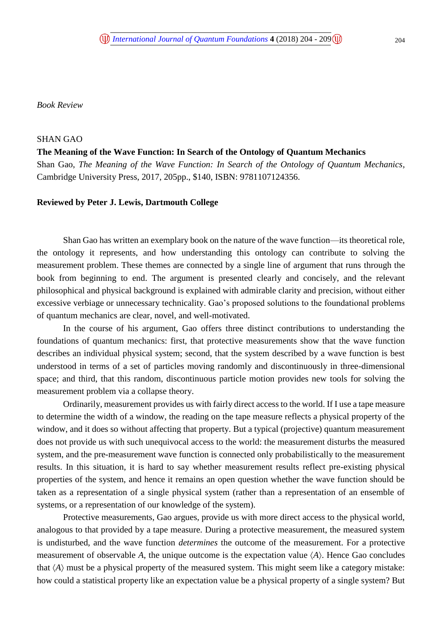*Book Review*

## SHAN GAO

## **The Meaning of the Wave Function: In Search of the Ontology of Quantum Mechanics**

Shan Gao, *The Meaning of the Wave Function: In Search of the Ontology of Quantum Mechanics,* Cambridge University Press, 2017, 205pp., \$140, ISBN: 9781107124356.

## **Reviewed by Peter J. Lewis, Dartmouth College**

Shan Gao has written an exemplary book on the nature of the wave function—its theoretical role, the ontology it represents, and how understanding this ontology can contribute to solving the measurement problem. These themes are connected by a single line of argument that runs through the book from beginning to end. The argument is presented clearly and concisely, and the relevant philosophical and physical background is explained with admirable clarity and precision, without either excessive verbiage or unnecessary technicality. Gao's proposed solutions to the foundational problems of quantum mechanics are clear, novel, and well-motivated.

In the course of his argument, Gao offers three distinct contributions to understanding the foundations of quantum mechanics: first, that protective measurements show that the wave function describes an individual physical system; second, that the system described by a wave function is best understood in terms of a set of particles moving randomly and discontinuously in three-dimensional space; and third, that this random, discontinuous particle motion provides new tools for solving the measurement problem via a collapse theory.

Ordinarily, measurement provides us with fairly direct access to the world. If I use a tape measure to determine the width of a window, the reading on the tape measure reflects a physical property of the window, and it does so without affecting that property. But a typical (projective) quantum measurement does not provide us with such unequivocal access to the world: the measurement disturbs the measured system, and the pre-measurement wave function is connected only probabilistically to the measurement results. In this situation, it is hard to say whether measurement results reflect pre-existing physical properties of the system, and hence it remains an open question whether the wave function should be taken as a representation of a single physical system (rather than a representation of an ensemble of systems, or a representation of our knowledge of the system).

Protective measurements, Gao argues, provide us with more direct access to the physical world, analogous to that provided by a tape measure. During a protective measurement, the measured system is undisturbed, and the wave function *determines* the outcome of the measurement. For a protective measurement of observable A, the unique outcome is the expectation value  $\langle A \rangle$ . Hence Gao concludes that  $\langle A \rangle$  must be a physical property of the measured system. This might seem like a category mistake: how could a statistical property like an expectation value be a physical property of a single system? But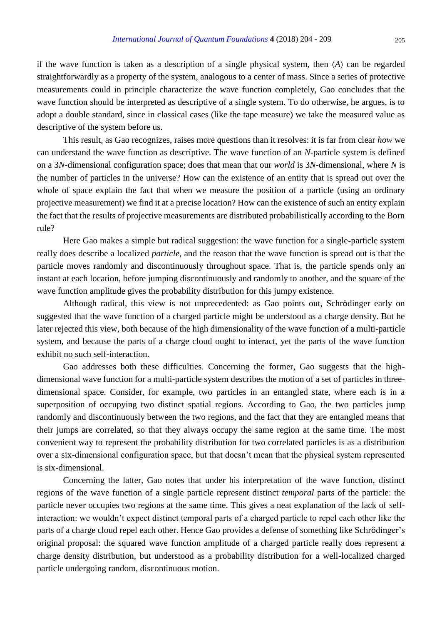if the wave function is taken as a description of a single physical system, then  $\langle A \rangle$  can be regarded straightforwardly as a property of the system, analogous to a center of mass. Since a series of protective measurements could in principle characterize the wave function completely, Gao concludes that the wave function should be interpreted as descriptive of a single system. To do otherwise, he argues, is to adopt a double standard, since in classical cases (like the tape measure) we take the measured value as descriptive of the system before us.

This result, as Gao recognizes, raises more questions than it resolves: it is far from clear *how* we can understand the wave function as descriptive. The wave function of an *N*-particle system is defined on a 3*N*-dimensional configuration space; does that mean that our *world* is 3*N*-dimensional, where *N* is the number of particles in the universe? How can the existence of an entity that is spread out over the whole of space explain the fact that when we measure the position of a particle (using an ordinary projective measurement) we find it at a precise location? How can the existence of such an entity explain the fact that the results of projective measurements are distributed probabilistically according to the Born rule?

Here Gao makes a simple but radical suggestion: the wave function for a single-particle system really does describe a localized *particle*, and the reason that the wave function is spread out is that the particle moves randomly and discontinuously throughout space. That is, the particle spends only an instant at each location, before jumping discontinuously and randomly to another, and the square of the wave function amplitude gives the probability distribution for this jumpy existence.

Although radical, this view is not unprecedented: as Gao points out, Schrödinger early on suggested that the wave function of a charged particle might be understood as a charge density. But he later rejected this view, both because of the high dimensionality of the wave function of a multi-particle system, and because the parts of a charge cloud ought to interact, yet the parts of the wave function exhibit no such self-interaction.

Gao addresses both these difficulties. Concerning the former, Gao suggests that the highdimensional wave function for a multi-particle system describes the motion of a set of particles in threedimensional space. Consider, for example, two particles in an entangled state, where each is in a superposition of occupying two distinct spatial regions. According to Gao, the two particles jump randomly and discontinuously between the two regions, and the fact that they are entangled means that their jumps are correlated, so that they always occupy the same region at the same time. The most convenient way to represent the probability distribution for two correlated particles is as a distribution over a six-dimensional configuration space, but that doesn't mean that the physical system represented is six-dimensional.

Concerning the latter, Gao notes that under his interpretation of the wave function, distinct regions of the wave function of a single particle represent distinct *temporal* parts of the particle: the particle never occupies two regions at the same time. This gives a neat explanation of the lack of selfinteraction: we wouldn't expect distinct temporal parts of a charged particle to repel each other like the parts of a charge cloud repel each other. Hence Gao provides a defense of something like Schrödinger's original proposal: the squared wave function amplitude of a charged particle really does represent a charge density distribution, but understood as a probability distribution for a well-localized charged particle undergoing random, discontinuous motion.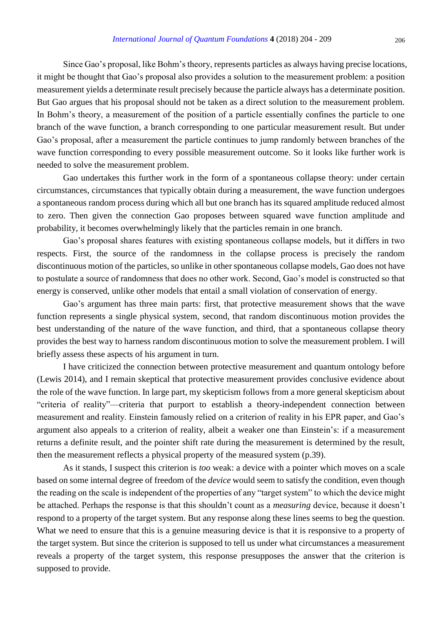Since Gao's proposal, like Bohm's theory, represents particles as always having precise locations, it might be thought that Gao's proposal also provides a solution to the measurement problem: a position measurement yields a determinate result precisely because the particle always has a determinate position. But Gao argues that his proposal should not be taken as a direct solution to the measurement problem. In Bohm's theory, a measurement of the position of a particle essentially confines the particle to one branch of the wave function, a branch corresponding to one particular measurement result. But under Gao's proposal, after a measurement the particle continues to jump randomly between branches of the wave function corresponding to every possible measurement outcome. So it looks like further work is needed to solve the measurement problem.

Gao undertakes this further work in the form of a spontaneous collapse theory: under certain circumstances, circumstances that typically obtain during a measurement, the wave function undergoes a spontaneous random process during which all but one branch has its squared amplitude reduced almost to zero. Then given the connection Gao proposes between squared wave function amplitude and probability, it becomes overwhelmingly likely that the particles remain in one branch.

Gao's proposal shares features with existing spontaneous collapse models, but it differs in two respects. First, the source of the randomness in the collapse process is precisely the random discontinuous motion of the particles, so unlike in other spontaneous collapse models, Gao does not have to postulate a source of randomness that does no other work. Second, Gao's model is constructed so that energy is conserved, unlike other models that entail a small violation of conservation of energy.

Gao's argument has three main parts: first, that protective measurement shows that the wave function represents a single physical system, second, that random discontinuous motion provides the best understanding of the nature of the wave function, and third, that a spontaneous collapse theory provides the best way to harness random discontinuous motion to solve the measurement problem. I will briefly assess these aspects of his argument in turn.

I have criticized the connection between protective measurement and quantum ontology before (Lewis 2014), and I remain skeptical that protective measurement provides conclusive evidence about the role of the wave function. In large part, my skepticism follows from a more general skepticism about "criteria of reality"—criteria that purport to establish a theory-independent connection between measurement and reality. Einstein famously relied on a criterion of reality in his EPR paper, and Gao's argument also appeals to a criterion of reality, albeit a weaker one than Einstein's: if a measurement returns a definite result, and the pointer shift rate during the measurement is determined by the result, then the measurement reflects a physical property of the measured system (p.39).

As it stands, I suspect this criterion is *too* weak: a device with a pointer which moves on a scale based on some internal degree of freedom of the *device* would seem to satisfy the condition, even though the reading on the scale is independent of the properties of any "target system" to which the device might be attached. Perhaps the response is that this shouldn't count as a *measuring* device, because it doesn't respond to a property of the target system. But any response along these lines seems to beg the question. What we need to ensure that this is a genuine measuring device is that it is responsive to a property of the target system. But since the criterion is supposed to tell us under what circumstances a measurement reveals a property of the target system, this response presupposes the answer that the criterion is supposed to provide.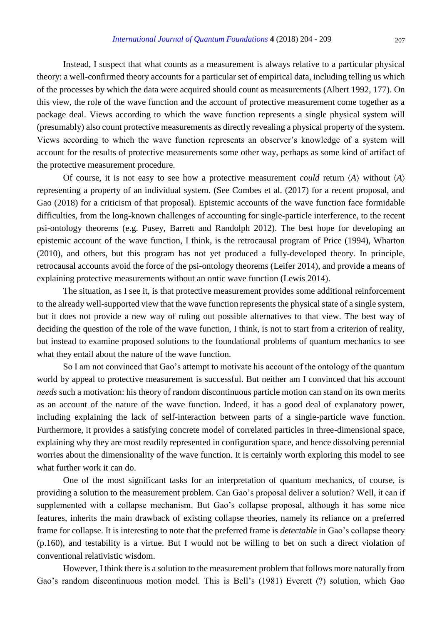Instead, I suspect that what counts as a measurement is always relative to a particular physical theory: a well-confirmed theory accounts for a particular set of empirical data, including telling us which of the processes by which the data were acquired should count as measurements (Albert 1992, 177). On this view, the role of the wave function and the account of protective measurement come together as a package deal. Views according to which the wave function represents a single physical system will (presumably) also count protective measurements as directly revealing a physical property of the system. Views according to which the wave function represents an observer's knowledge of a system will account for the results of protective measurements some other way, perhaps as some kind of artifact of the protective measurement procedure.

Of course, it is not easy to see how a protective measurement *could* return  $\langle A \rangle$  without  $\langle A \rangle$ representing a property of an individual system. (See Combes et al. (2017) for a recent proposal, and Gao (2018) for a criticism of that proposal). Epistemic accounts of the wave function face formidable difficulties, from the long-known challenges of accounting for single-particle interference, to the recent psi-ontology theorems (e.g. Pusey, Barrett and Randolph 2012). The best hope for developing an epistemic account of the wave function, I think, is the retrocausal program of Price (1994), Wharton (2010), and others, but this program has not yet produced a fully-developed theory. In principle, retrocausal accounts avoid the force of the psi-ontology theorems (Leifer 2014), and provide a means of explaining protective measurements without an ontic wave function (Lewis 2014).

The situation, as I see it, is that protective measurement provides some additional reinforcement to the already well-supported view that the wave function represents the physical state of a single system, but it does not provide a new way of ruling out possible alternatives to that view. The best way of deciding the question of the role of the wave function, I think, is not to start from a criterion of reality, but instead to examine proposed solutions to the foundational problems of quantum mechanics to see what they entail about the nature of the wave function.

So I am not convinced that Gao's attempt to motivate his account of the ontology of the quantum world by appeal to protective measurement is successful. But neither am I convinced that his account *needs* such a motivation: his theory of random discontinuous particle motion can stand on its own merits as an account of the nature of the wave function. Indeed, it has a good deal of explanatory power, including explaining the lack of self-interaction between parts of a single-particle wave function. Furthermore, it provides a satisfying concrete model of correlated particles in three-dimensional space, explaining why they are most readily represented in configuration space, and hence dissolving perennial worries about the dimensionality of the wave function. It is certainly worth exploring this model to see what further work it can do.

One of the most significant tasks for an interpretation of quantum mechanics, of course, is providing a solution to the measurement problem. Can Gao's proposal deliver a solution? Well, it can if supplemented with a collapse mechanism. But Gao's collapse proposal, although it has some nice features, inherits the main drawback of existing collapse theories, namely its reliance on a preferred frame for collapse. It is interesting to note that the preferred frame is *detectable* in Gao's collapse theory (p.160), and testability is a virtue. But I would not be willing to bet on such a direct violation of conventional relativistic wisdom.

However, I think there is a solution to the measurement problem that follows more naturally from Gao's random discontinuous motion model. This is Bell's (1981) Everett (?) solution, which Gao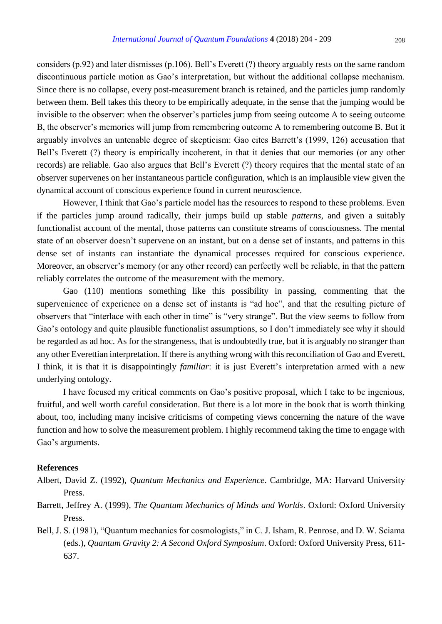considers (p.92) and later dismisses (p.106). Bell's Everett (?) theory arguably rests on the same random discontinuous particle motion as Gao's interpretation, but without the additional collapse mechanism. Since there is no collapse, every post-measurement branch is retained, and the particles jump randomly between them. Bell takes this theory to be empirically adequate, in the sense that the jumping would be invisible to the observer: when the observer's particles jump from seeing outcome A to seeing outcome B, the observer's memories will jump from remembering outcome A to remembering outcome B. But it arguably involves an untenable degree of skepticism: Gao cites Barrett's (1999, 126) accusation that Bell's Everett (?) theory is empirically incoherent, in that it denies that our memories (or any other records) are reliable. Gao also argues that Bell's Everett (?) theory requires that the mental state of an observer supervenes on her instantaneous particle configuration, which is an implausible view given the dynamical account of conscious experience found in current neuroscience.

However, I think that Gao's particle model has the resources to respond to these problems. Even if the particles jump around radically, their jumps build up stable *patterns*, and given a suitably functionalist account of the mental, those patterns can constitute streams of consciousness. The mental state of an observer doesn't supervene on an instant, but on a dense set of instants, and patterns in this dense set of instants can instantiate the dynamical processes required for conscious experience. Moreover, an observer's memory (or any other record) can perfectly well be reliable, in that the pattern reliably correlates the outcome of the measurement with the memory.

Gao (110) mentions something like this possibility in passing, commenting that the supervenience of experience on a dense set of instants is "ad hoc", and that the resulting picture of observers that "interlace with each other in time" is "very strange". But the view seems to follow from Gao's ontology and quite plausible functionalist assumptions, so I don't immediately see why it should be regarded as ad hoc. As for the strangeness, that is undoubtedly true, but it is arguably no stranger than any other Everettian interpretation. If there is anything wrong with this reconciliation of Gao and Everett, I think, it is that it is disappointingly *familiar*: it is just Everett's interpretation armed with a new underlying ontology.

I have focused my critical comments on Gao's positive proposal, which I take to be ingenious, fruitful, and well worth careful consideration. But there is a lot more in the book that is worth thinking about, too, including many incisive criticisms of competing views concerning the nature of the wave function and how to solve the measurement problem. I highly recommend taking the time to engage with Gao's arguments.

## **References**

- Albert, David Z. (1992), *Quantum Mechanics and Experience*. Cambridge, MA: Harvard University Press.
- Barrett, Jeffrey A. (1999), *The Quantum Mechanics of Minds and Worlds*. Oxford: Oxford University Press.
- Bell, J. S. (1981), "Quantum mechanics for cosmologists," in C. J. Isham, R. Penrose, and D. W. Sciama (eds.), *Quantum Gravity 2: A Second Oxford Symposium*. Oxford: Oxford University Press, 611- 637.